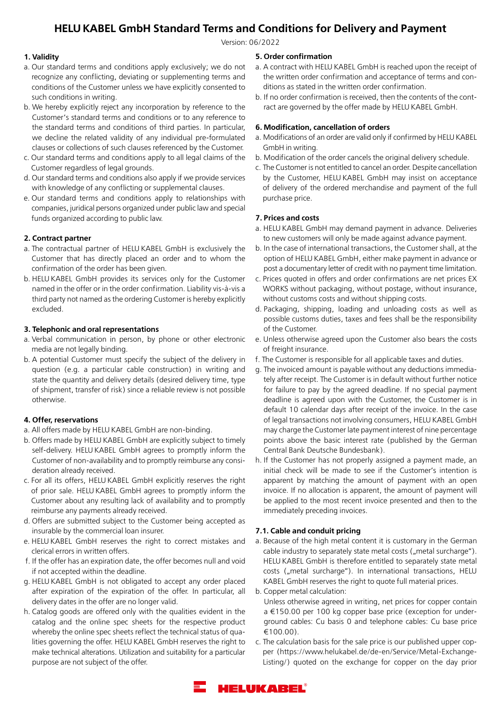# **HELU KABEL GmbH Standard Terms and Conditions for Delivery and Payment**

Version: 06/2022

## **1. Validity**

- a. Our standard terms and conditions apply exclusively; we do not recognize any conflicting, deviating or supplementing terms and conditions of the Customer unless we have explicitly consented to such conditions in writing.
- b. We hereby explicitly reject any incorporation by reference to the Customer's standard terms and conditions or to any reference to the standard terms and conditions of third parties. In particular, we decline the related validity of any individual pre-formulated clauses or collections of such clauses referenced by the Customer.
- c. Our standard terms and conditions apply to all legal claims of the Customer regardless of legal grounds.
- d. Our standard terms and conditions also apply if we provide services with knowledge of any conflicting or supplemental clauses.
- e. Our standard terms and conditions apply to relationships with companies, juridical persons organized under public law and special funds organized according to public law.

#### **2. Contract partner**

- a. The contractual partner of HELU KABEL GmbH is exclusively the Customer that has directly placed an order and to whom the confirmation of the order has been given.
- b. HELU KABEL GmbH provides its services only for the Customer named in the offer or in the order confirmation. Liability vis-à-vis a third party not named as the ordering Customer is hereby explicitly excluded.

## **3. Telephonic and oral representations**

- a. Verbal communication in person, by phone or other electronic media are not legally binding.
- b. A potential Customer must specify the subject of the delivery in question (e.g. a particular cable construction) in writing and state the quantity and delivery details (desired delivery time, type of shipment, transfer of risk) since a reliable review is not possible otherwise.

## **4. Offer, reservations**

- a. All offers made by HELU KABEL GmbH are non-binding.
- b. Offers made by HELU KABEL GmbH are explicitly subject to timely self-delivery. HELU KABEL GmbH agrees to promptly inform the Customer of non-availability and to promptly reimburse any consideration already received.
- c. For all its offers, HELU KABEL GmbH explicitly reserves the right of prior sale. HELU KABEL GmbH agrees to promptly inform the Customer about any resulting lack of availability and to promptly reimburse any payments already received.
- d. Offers are submitted subject to the Customer being accepted as insurable by the commercial loan insurer.
- e. HELU KABEL GmbH reserves the right to correct mistakes and clerical errors in written offers.
- f. If the offer has an expiration date, the offer becomes null and void if not accepted within the deadline.
- g. HELU KABEL GmbH is not obligated to accept any order placed after expiration of the expiration of the offer. In particular, all delivery dates in the offer are no longer valid.
- h. Catalog goods are offered only with the qualities evident in the catalog and the online spec sheets for the respective product whereby the online spec sheets reflect the technical status of qualities governing the offer. HELU KABEL GmbH reserves the right to make technical alterations. Utilization and suitability for a particular purpose are not subject of the offer.

## **5. Order confirmation**

- a. A contract with HELU KABEL GmbH is reached upon the receipt of the written order confirmation and acceptance of terms and conditions as stated in the written order confirmation.
- b. If no order confirmation is received, then the contents of the contract are governed by the offer made by HELU KABEL GmbH.

## **6. Modification, cancellation of orders**

- a. Modifications of an order are valid only if confirmed by HELU KABEL GmbH in writing.
- b. Modification of the order cancels the original delivery schedule.
- c. The Customer is not entitled to cancel an order. Despite cancellation by the Customer, HELU KABEL GmbH may insist on acceptance of delivery of the ordered merchandise and payment of the full purchase price.

## **7. Prices and costs**

- a. HELU KABEL GmbH may demand payment in advance. Deliveries to new customers will only be made against advance payment.
- b. In the case of international transactions, the Customer shall, at the option of HELU KABEL GmbH, either make payment in advance or post a documentary letter of credit with no payment time limitation.
- c. Prices quoted in offers and order confirmations are net prices EX WORKS without packaging, without postage, without insurance, without customs costs and without shipping costs.
- d. Packaging, shipping, loading and unloading costs as well as possible customs duties, taxes and fees shall be the responsibility of the Customer.
- e. Unless otherwise agreed upon the Customer also bears the costs of freight insurance.
- f. The Customer is responsible for all applicable taxes and duties.
- g. The invoiced amount is payable without any deductions immediately after receipt. The Customer is in default without further notice for failure to pay by the agreed deadline. If no special payment deadline is agreed upon with the Customer, the Customer is in default 10 calendar days after receipt of the invoice. In the case of legal transactions not involving consumers, HELU KABEL GmbH may charge the Customer late payment interest of nine percentage points above the basic interest rate (published by the German Central Bank Deutsche Bundesbank).
- h. If the Customer has not properly assigned a payment made, an initial check will be made to see if the Customer's intention is apparent by matching the amount of payment with an open invoice. If no allocation is apparent, the amount of payment will be applied to the most recent invoice presented and then to the immediately preceding invoices.

#### **7.1. Cable and conduit pricing**

a. Because of the high metal content it is customary in the German cable industry to separately state metal costs ("metal surcharge"). HELU KABEL GmbH is therefore entitled to separately state metal costs ("metal surcharge"). In international transactions, HELU KABEL GmbH reserves the right to quote full material prices.

b. Copper metal calculation:

Unless otherwise agreed in writing, net prices for copper contain a €150.00 per 100 kg copper base price (exception for underground cables: Cu basis 0 and telephone cables: Cu base price  $f(100.00)$ .

c. The calculation basis for the sale price is our published upper copper (https://www.helukabel.de/de-en/Service/Metal-Exchange-Listing/) quoted on the exchange for copper on the day prior

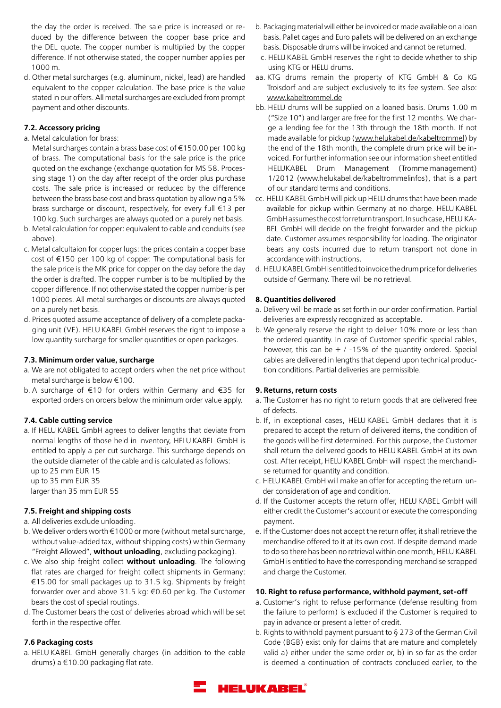the day the order is received. The sale price is increased or reduced by the difference between the copper base price and the DEL quote. The copper number is multiplied by the copper difference. If not otherwise stated, the copper number applies per 1000 m.

d. Other metal surcharges (e.g. aluminum, nickel, lead) are handled equivalent to the copper calculation. The base price is the value stated in our offers. All metal surcharges are excluded from prompt payment and other discounts.

## **7.2. Accessory pricing**

a. Metal calculation for brass:

 Metal surcharges contain a brass base cost of €150.00 per 100 kg of brass. The computational basis for the sale price is the price quoted on the exchange (exchange quotation for MS 58. Processing stage 1) on the day after receipt of the order plus purchase costs. The sale price is increased or reduced by the difference between the brass base cost and brass quotation by allowing a 5% brass surcharge or discount, respectively, for every full €13 per 100 kg. Such surcharges are always quoted on a purely net basis.

- b. Metal calculation for copper: equivalent to cable and conduits (see above).
- c. Metal calcultaion for copper lugs: the prices contain a copper base cost of €150 per 100 kg of copper. The computational basis for the sale price is the MK price for copper on the day before the day the order is drafted. The copper number is to be multiplied by the copper difference. If not otherwise stated the copper number is per 1000 pieces. All metal surcharges or discounts are always quoted on a purely net basis.
- d. Prices quoted assume acceptance of delivery of a complete packaging unit (VE). HELU KABEL GmbH reserves the right to impose a low quantity surcharge for smaller quantities or open packages.

## **7.3. Minimum order value, surcharge**

- a. We are not obligated to accept orders when the net price without metal surcharge is below €100.
- b. A surcharge of €10 for orders within Germany and €35 for exported orders on orders below the minimum order value apply.

## **7.4. Cable cutting service**

a. If HELU KABEL GmbH agrees to deliver lengths that deviate from normal lengths of those held in inventory, HELU KABEL GmbH is entitled to apply a per cut surcharge. This surcharge depends on the outside diameter of the cable and is calculated as follows: up to 25 mm EUR 15 up to 35 mm EUR 35

larger than 35 mm EUR 55

## **7.5. Freight and shipping costs**

- a. All deliveries exclude unloading.
- b. We deliver orders worth  $\epsilon$ 1000 or more (without metal surcharge, without value-added tax, without shipping costs) within Germany "Freight Allowed", **without unloading**, excluding packaging).
- c. We also ship freight collect **without unloading**. The following flat rates are charged for freight collect shipments in Germany: €15.00 for small packages up to 31.5 kg. Shipments by freight forwarder over and above 31.5 kg: €0.60 per kg. The Customer bears the cost of special routings.
- d. The Customer bears the cost of deliveries abroad which will be set forth in the respective offer.

## **7.6 Packaging costs**

a. HELU KABEL GmbH generally charges (in addition to the cable drums) a €10.00 packaging flat rate.

- b. Packaging material will either be invoiced or made available on a loan basis. Pallet cages and Euro pallets will be delivered on an exchange basis. Disposable drums will be invoiced and cannot be returned.
- c. HELU KABEL GmbH reserves the right to decide whether to ship using KTG or HELU drums.
- aa. KTG drums remain the property of KTG GmbH & Co KG Troisdorf and are subject exclusively to its fee system. See also: www.kabeltrommel.de
- bb. HELU drums will be supplied on a loaned basis. Drums 1.00 m ("Size 10") and larger are free for the first 12 months. We charge a lending fee for the 13th through the 18th month. If not made available for pickup (www.helukabel.de/kabeltrommel) by the end of the 18th month, the complete drum price will be invoiced. For further information see our information sheet entitled HELUKABEL Drum Management (Trommelmanagement) 1/2012 (www.helukabel.de/kabeltrommelinfos), that is a part of our standard terms and conditions.
- cc. HELU KABEL GmbH will pick up HELU drums that have been made available for pickup within Germany at no charge. HELU KABEL GmbH assumes the cost for return transport. In such case, HELU KA-BEL GmbH will decide on the freight forwarder and the pickup date. Customer assumes responsibility for loading. The originator bears any costs incurred due to return transport not done in accordance with instructions.
- d. HELU KABEL GmbH is entitled to invoice the drum price for deliveries outside of Germany. There will be no retrieval.

## **8. Quantities delivered**

- a. Delivery will be made as set forth in our order confirmation. Partial deliveries are expressly recognized as acceptable.
- b. We generally reserve the right to deliver 10% more or less than the ordered quantity. In case of Customer specific special cables, however, this can be  $+$  / -15% of the quantity ordered. Special cables are delivered in lengths that depend upon technical production conditions. Partial deliveries are permissible.

## **9. Returns, return costs**

- a. The Customer has no right to return goods that are delivered free of defects.
- b. If, in exceptional cases, HELU KABEL GmbH declares that it is prepared to accept the return of delivered items, the condition of the goods will be first determined. For this purpose, the Customer shall return the delivered goods to HELU KABEL GmbH at its own cost. After receipt, HELU KABEL GmbH will inspect the merchandise returned for quantity and condition.
- c. HELU KABEL GmbH will make an offer for accepting the return under consideration of age and condition.
- d. If the Customer accepts the return offer, HELU KABEL GmbH will either credit the Customer's account or execute the corresponding payment.
- e. If the Customer does not accept the return offer, it shall retrieve the merchandise offered to it at its own cost. If despite demand made to do so there has been no retrieval within one month, HELU KABEL GmbH is entitled to have the corresponding merchandise scrapped and charge the Customer.

## **10. Right to refuse performance, withhold payment, set-off**

- a. Customer's right to refuse performance (defense resulting from the failure to perform) is excluded if the Customer is required to pay in advance or present a letter of credit.
- b. Rights to withhold payment pursuant to § 273 of the German Civil Code (BGB) exist only for claims that are mature and completely valid a) either under the same order or, b) in so far as the order is deemed a continuation of contracts concluded earlier, to the

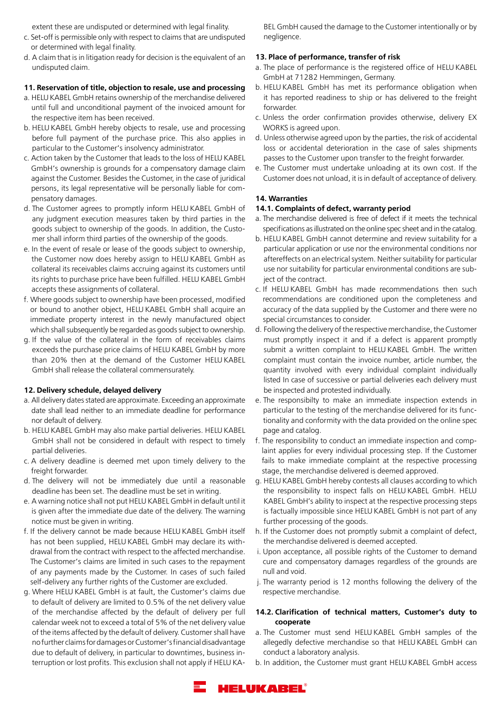extent these are undisputed or determined with legal finality.

- c. Set-off is permissible only with respect to claims that are undisputed or determined with legal finality.
- d. A claim that is in litigation ready for decision is the equivalent of an undisputed claim.

#### **11. Reservation of title, objection to resale, use and processing**

- a. HELU KABEL GmbH retains ownership of the merchandise delivered until full and unconditional payment of the invoiced amount for the respective item has been received.
- b. HELU KABEL GmbH hereby objects to resale, use and processing before full payment of the purchase price. This also applies in particular to the Customer's insolvency administrator.
- c. Action taken by the Customer that leads to the loss of HELU KABEL GmbH's ownership is grounds for a compensatory damage claim against the Customer. Besides the Customer, in the case of juridical persons, its legal representative will be personally liable for compensatory damages.
- d. The Customer agrees to promptly inform HELU KABEL GmbH of any judgment execution measures taken by third parties in the goods subject to ownership of the goods. In addition, the Customer shall inform third parties of the ownership of the goods.
- e. In the event of resale or lease of the goods subject to ownership, the Customer now does hereby assign to HELU KABEL GmbH as collateral its receivables claims accruing against its customers until its rights to purchase price have been fulfilled. HELU KABEL GmbH accepts these assignments of collateral.
- f. Where goods subject to ownership have been processed, modified or bound to another object, HELU KABEL GmbH shall acquire an immediate property interest in the newly manufactured object which shall subsequently be regarded as goods subject to ownership.
- g. If the value of the collateral in the form of receivables claims exceeds the purchase price claims of HELU KABEL GmbH by more than 20% then at the demand of the Customer HELU KABEL GmbH shall release the collateral commensurately.

## **12. Delivery schedule, delayed delivery**

- a. All delivery dates stated are approximate. Exceeding an approximate date shall lead neither to an immediate deadline for performance nor default of delivery.
- b. HELU KABEL GmbH may also make partial deliveries. HELU KABEL GmbH shall not be considered in default with respect to timely partial deliveries.
- c. A delivery deadline is deemed met upon timely delivery to the freight forwarder.
- d. The delivery will not be immediately due until a reasonable deadline has been set. The deadline must be set in writing.
- e. A warning notice shall not put HELU KABEL GmbH in default until it is given after the immediate due date of the delivery. The warning notice must be given in writing.
- f. If the delivery cannot be made because HELU KABEL GmbH itself has not been supplied, HELU KABEL GmbH may declare its withdrawal from the contract with respect to the affected merchandise. The Customer's claims are limited in such cases to the repayment of any payments made by the Customer. In cases of such failed self-delivery any further rights of the Customer are excluded.
- g. Where HELU KABEL GmbH is at fault, the Customer's claims due to default of delivery are limited to 0.5% of the net delivery value of the merchandise affected by the default of delivery per full calendar week not to exceed a total of 5% of the net delivery value of the items affected by the default of delivery. Customer shall have no further claims for damages or Customer's financial disadvantage due to default of delivery, in particular to downtimes, business interruption or lost profits. This exclusion shall not apply if HELU KA-

BEL GmbH caused the damage to the Customer intentionally or by negligence.

#### **13. Place of performance, transfer of risk**

- a. The place of performance is the registered office of HELU KABEL GmbH at 71282 Hemmingen, Germany.
- b. HELU KABEL GmbH has met its performance obligation when it has reported readiness to ship or has delivered to the freight forwarder.
- c. Unless the order confirmation provides otherwise, delivery EX WORKS is agreed upon.
- d. Unless otherwise agreed upon by the parties, the risk of accidental loss or accidental deterioration in the case of sales shipments passes to the Customer upon transfer to the freight forwarder.
- e. The Customer must undertake unloading at its own cost. If the Customer does not unload, it is in default of acceptance of delivery.

#### **14. Warranties**

## **14.1. Complaints of defect, warranty period**

- a. The merchandise delivered is free of defect if it meets the technical specifications as illustrated on the online spec sheet and in the catalog.
- b. HELU KABEL GmbH cannot determine and review suitability for a particular application or use nor the environmental conditions nor aftereffects on an electrical system. Neither suitability for particular use nor suitability for particular environmental conditions are subject of the contract.
- c. If HELU KABEL GmbH has made recommendations then such recommendations are conditioned upon the completeness and accuracy of the data supplied by the Customer and there were no special circumstances to consider.
- d. Following the delivery of the respective merchandise, the Customer must promptly inspect it and if a defect is apparent promptly submit a written complaint to HELU KABEL GmbH. The written complaint must contain the invoice number, article number, the quantity involved with every individual complaint individually listed In case of successive or partial deliveries each delivery must be inspected and protested individually.
- e. The responsibilty to make an immediate inspection extends in particular to the testing of the merchandise delivered for its functionality and conformity with the data provided on the online spec page and catalog.
- f. The responsibility to conduct an immediate inspection and complaint applies for every individual processing step. If the Customer fails to make immediate complaint at the respective processing stage, the merchandise delivered is deemed approved.
- g. HELU KABEL GmbH hereby contests all clauses according to which the responsibility to inspect falls on HELU KABEL GmbH. HELU KABEL GmbH's ability to inspect at the respective processing steps is factually impossible since HELU KABEL GmbH is not part of any further processing of the goods.
- h. If the Customer does not promptly submit a complaint of defect, the merchandise delivered is deemed accepted.
- i. Upon acceptance, all possible rights of the Customer to demand cure and compensatory damages regardless of the grounds are null and void.
- j. The warranty period is 12 months following the delivery of the respective merchandise.

## **14.2. Clarification of technical matters, Customer's duty to cooperate**

- a. The Customer must send HELU KABEL GmbH samples of the allegedly defective merchandise so that HELU KABEL GmbH can conduct a laboratory analysis.
- b. In addition, the Customer must grant HELU KABEL GmbH access

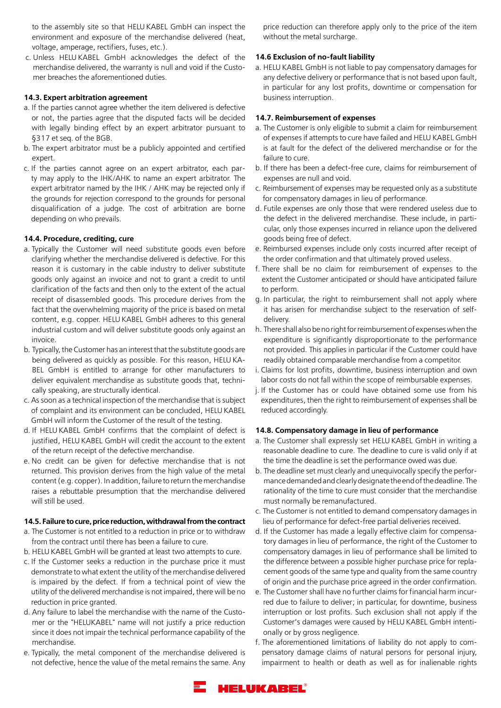to the assembly site so that HELU KABEL GmbH can inspect the environment and exposure of the merchandise delivered (heat, voltage, amperage, rectifiers, fuses, etc.).

 c. Unless HELU KABEL GmbH acknowledges the defect of the merchandise delivered, the warranty is null and void if the Customer breaches the aforementioned duties.

### **14.3. Expert arbitration agreement**

- a. If the parties cannot agree whether the item delivered is defective or not, the parties agree that the disputed facts will be decided with legally binding effect by an expert arbitrator pursuant to §317 et seq. of the BGB.
- b. The expert arbitrator must be a publicly appointed and certified expert.
- c. If the parties cannot agree on an expert arbitrator, each party may apply to the IHK/AHK to name an expert arbitrator. The expert arbitrator named by the IHK / AHK may be rejected only if the grounds for rejection correspond to the grounds for personal disqualification of a judge. The cost of arbitration are borne depending on who prevails.

## **14.4. Procedure, crediting, cure**

- a. Typically the Customer will need substitute goods even before clarifying whether the merchandise delivered is defective. For this reason it is customary in the cable industry to deliver substitute goods only against an invoice and not to grant a credit to until clarification of the facts and then only to the extent of the actual receipt of disassembled goods. This procedure derives from the fact that the overwhelming majority of the price is based on metal content, e.g. copper. HELU KABEL GmbH adheres to this general industrial custom and will deliver substitute goods only against an invoice.
- b. Typically, the Customer has an interest that the substitute goods are being delivered as quickly as possible. For this reason, HELU KA-BEL GmbH is entitled to arrange for other manufacturers to deliver equivalent merchandise as substitute goods that, technically speaking, are structurally identical.
- c. As soon as a technical inspection of the merchandise that is subject of complaint and its environment can be concluded, HELU KABEL GmbH will inform the Customer of the result of the testing.
- d. If HELU KABEL GmbH confirms that the complaint of defect is justified, HELU KABEL GmbH will credit the account to the extent of the return receipt of the defective merchandise.
- e. No credit can be given for defective merchandise that is not returned. This provision derives from the high value of the metal content (e.g. copper). In addition, failure to return the merchandise raises a rebuttable presumption that the merchandise delivered will still be used.

#### **14.5. Failure to cure, price reduction, withdrawal from the contract**

- a. The Customer is not entitled to a reduction in price or to withdraw from the contract until there has been a failure to cure.
- b. HELU KABEL GmbH will be granted at least two attempts to cure.
- c. If the Customer seeks a reduction in the purchase price it must demonstrate to what extent the utility of the merchandise delivered is impaired by the defect. If from a technical point of view the utility of the delivered merchandise is not impaired, there will be no reduction in price granted.
- d. Any failure to label the merchandise with the name of the Customer or the "HELUKABEL" name will not justify a price reduction since it does not impair the technical performance capability of the merchandise.
- e. Typically, the metal component of the merchandise delivered is not defective, hence the value of the metal remains the same. Any

price reduction can therefore apply only to the price of the item without the metal surcharge.

### **14.6 Exclusion of no-fault liability**

a. HELU KABEL GmbH is not liable to pay compensatory damages for any defective delivery or performance that is not based upon fault, in particular for any lost profits, downtime or compensation for business interruption.

### **14.7. Reimbursement of expenses**

- a. The Customer is only eligible to submit a claim for reimbursement of expenses if attempts to cure have failed and HELU KABEL GmbH is at fault for the defect of the delivered merchandise or for the failure to cure.
- b. If there has been a defect-free cure, claims for reimbursement of expenses are null and void.
- c. Reimbursement of expenses may be requested only as a substitute for compensatory damages in lieu of performance.
- d. Futile expenses are only those that were rendered useless due to the defect in the delivered merchandise. These include, in particular, only those expenses incurred in reliance upon the delivered goods being free of defect.
- e. Reimbursed expenses include only costs incurred after receipt of the order confirmation and that ultimately proved useless.
- f. There shall be no claim for reimbursement of expenses to the extent the Customer anticipated or should have anticipated failure to perform.
- g. In particular, the right to reimbursement shall not apply where it has arisen for merchandise subject to the reservation of selfdelivery.
- h. There shall also be no right for reimbursement of expenses when the expenditure is significantly disproportionate to the performance not provided. This applies in particular if the Customer could have readily obtained comparable merchandise from a competitor.
- i. Claims for lost profits, downtime, business interruption and own labor costs do not fall within the scope of reimbursable expenses.
- j. If the Customer has or could have obtained some use from his expenditures, then the right to reimbursement of expenses shall be reduced accordingly.

#### **14.8. Compensatory damage in lieu of performance**

- a. The Customer shall expressly set HELU KABEL GmbH in writing a reasonable deadline to cure. The deadline to cure is valid only if at the time the deadline is set the performance owed was due.
- b. The deadline set must clearly and unequivocally specify the performance demanded and clearly designate the end of the deadline. The rationality of the time to cure must consider that the merchandise must normally be remanufactured.
- c. The Customer is not entitled to demand compensatory damages in lieu of performance for defect-free partial deliveries received.
- d. If the Customer has made a legally effective claim for compensatory damages in lieu of performance, the right of the Customer to compensatory damages in lieu of performance shall be limited to the difference between a possible higher purchase price for replacement goods of the same type and quality from the same country of origin and the purchase price agreed in the order confirmation.
- e. The Customer shall have no further claims for financial harm incurred due to failure to deliver; in particular, for downtime, business interruption or lost profits. Such exclusion shall not apply if the Customer's damages were caused by HELU KABEL GmbH intentionally or by gross negligence.
- f. The aforementioned limitations of liability do not apply to compensatory damage claims of natural persons for personal injury, impairment to health or death as well as for inalienable rights